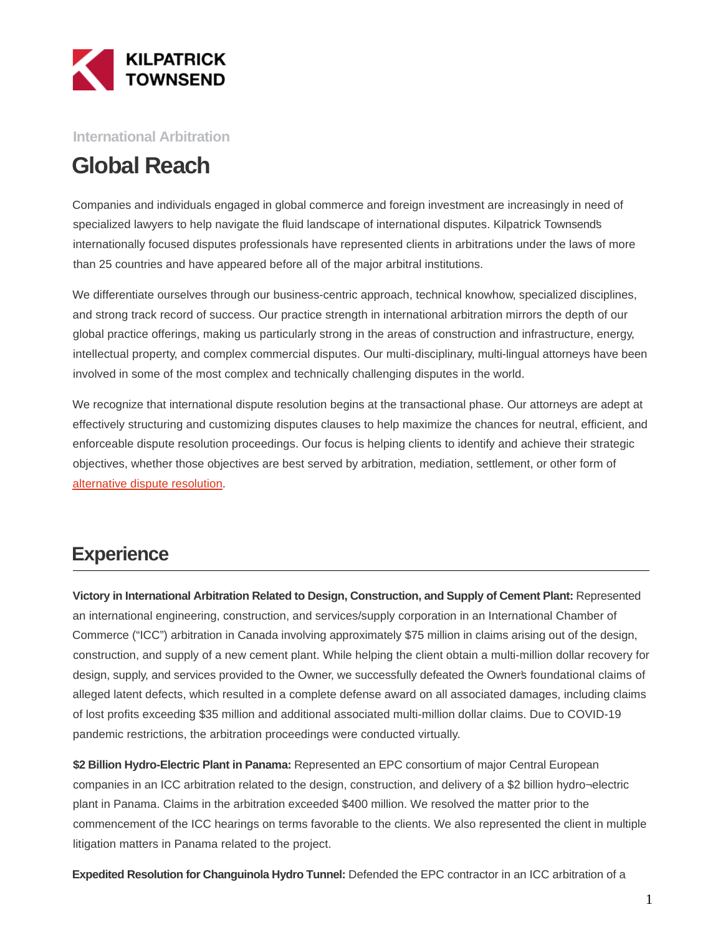

**International Arbitration**

# **Global Reach**

Companies and individuals engaged in global commerce and foreign investment are increasingly in need of specialized lawyers to help navigate the fluid landscape of international disputes. Kilpatrick Townsend's internationally focused disputes professionals have represented clients in arbitrations under the laws of more than 25 countries and have appeared before all of the major arbitral institutions.

We differentiate ourselves through our business-centric approach, technical knowhow, specialized disciplines, and strong track record of success. Our practice strength in international arbitration mirrors the depth of our global practice offerings, making us particularly strong in the areas of construction and infrastructure, energy, intellectual property, and complex commercial disputes. Our multi-disciplinary, multi-lingual attorneys have been involved in some of the most complex and technically challenging disputes in the world.

We recognize that international dispute resolution begins at the transactional phase. Our attorneys are adept at effectively structuring and customizing disputes clauses to help maximize the chances for neutral, efficient, and enforceable dispute resolution proceedings. Our focus is helping clients to identify and achieve their strategic objectives, whether those objectives are best served by arbitration, mediation, settlement, or other form of [alternative dispute resolution.](https://kilpatricktownsend.com/en/Services/Litigation/AlternativeDisputeResolution) 

## **Experience**

**Victory in International Arbitration Related to Design, Construction, and Supply of Cement Plant:** Represented an international engineering, construction, and services/supply corporation in an International Chamber of Commerce ("ICC") arbitration in Canada involving approximately \$75 million in claims arising out of the design, construction, and supply of a new cement plant. While helping the client obtain a multi-million dollar recovery for design, supply, and services provided to the Owner, we successfully defeated the Owner's foundational claims of alleged latent defects, which resulted in a complete defense award on all associated damages, including claims of lost profits exceeding \$35 million and additional associated multi-million dollar claims. Due to COVID-19 pandemic restrictions, the arbitration proceedings were conducted virtually.

**\$2 Billion Hydro-Electric Plant in Panama:** Represented an EPC consortium of major Central European companies in an ICC arbitration related to the design, construction, and delivery of a \$2 billion hydro¬electric plant in Panama. Claims in the arbitration exceeded \$400 million. We resolved the matter prior to the commencement of the ICC hearings on terms favorable to the clients. We also represented the client in multiple litigation matters in Panama related to the project.

**Expedited Resolution for Changuinola Hydro Tunnel:** Defended the EPC contractor in an ICC arbitration of a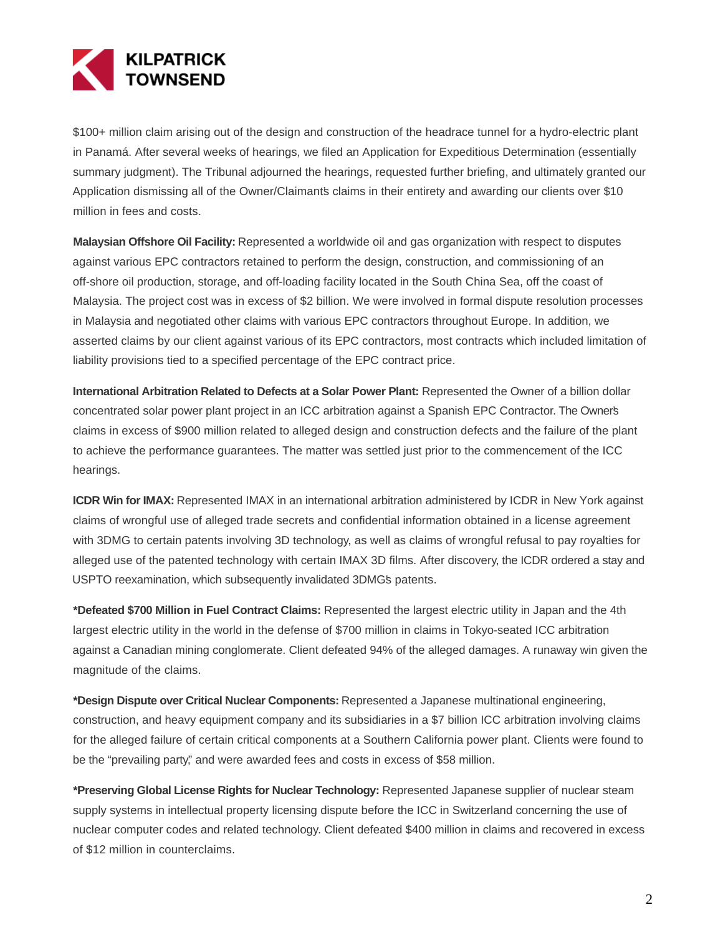

\$100+ million claim arising out of the design and construction of the headrace tunnel for a hydro-electric plant in Panamá. After several weeks of hearings, we filed an Application for Expeditious Determination (essentially summary judgment). The Tribunal adjourned the hearings, requested further briefing, and ultimately granted our Application dismissing all of the Owner/Claimant's claims in their entirety and awarding our clients over \$10 million in fees and costs.

**Malaysian Offshore Oil Facility:** Represented a worldwide oil and gas organization with respect to disputes against various EPC contractors retained to perform the design, construction, and commissioning of an off-shore oil production, storage, and off-loading facility located in the South China Sea, off the coast of Malaysia. The project cost was in excess of \$2 billion. We were involved in formal dispute resolution processes in Malaysia and negotiated other claims with various EPC contractors throughout Europe. In addition, we asserted claims by our client against various of its EPC contractors, most contracts which included limitation of liability provisions tied to a specified percentage of the EPC contract price.

**International Arbitration Related to Defects at a Solar Power Plant:** Represented the Owner of a billion dollar concentrated solar power plant project in an ICC arbitration against a Spanish EPC Contractor. The Owner's claims in excess of \$900 million related to alleged design and construction defects and the failure of the plant to achieve the performance guarantees. The matter was settled just prior to the commencement of the ICC hearings.

**ICDR Win for IMAX:** Represented IMAX in an international arbitration administered by ICDR in New York against claims of wrongful use of alleged trade secrets and confidential information obtained in a license agreement with 3DMG to certain patents involving 3D technology, as well as claims of wrongful refusal to pay royalties for alleged use of the patented technology with certain IMAX 3D films. After discovery, the ICDR ordered a stay and USPTO reexamination, which subsequently invalidated 3DMG's patents.

**\*Defeated \$700 Million in Fuel Contract Claims:** Represented the largest electric utility in Japan and the 4th largest electric utility in the world in the defense of \$700 million in claims in Tokyo-seated ICC arbitration against a Canadian mining conglomerate. Client defeated 94% of the alleged damages. A runaway win given the magnitude of the claims.

**\*Design Dispute over Critical Nuclear Components:** Represented a Japanese multinational engineering, construction, and heavy equipment company and its subsidiaries in a \$7 billion ICC arbitration involving claims for the alleged failure of certain critical components at a Southern California power plant. Clients were found to be the "prevailing party," and were awarded fees and costs in excess of \$58 million.

**\*Preserving Global License Rights for Nuclear Technology:** Represented Japanese supplier of nuclear steam supply systems in intellectual property licensing dispute before the ICC in Switzerland concerning the use of nuclear computer codes and related technology. Client defeated \$400 million in claims and recovered in excess of \$12 million in counterclaims.